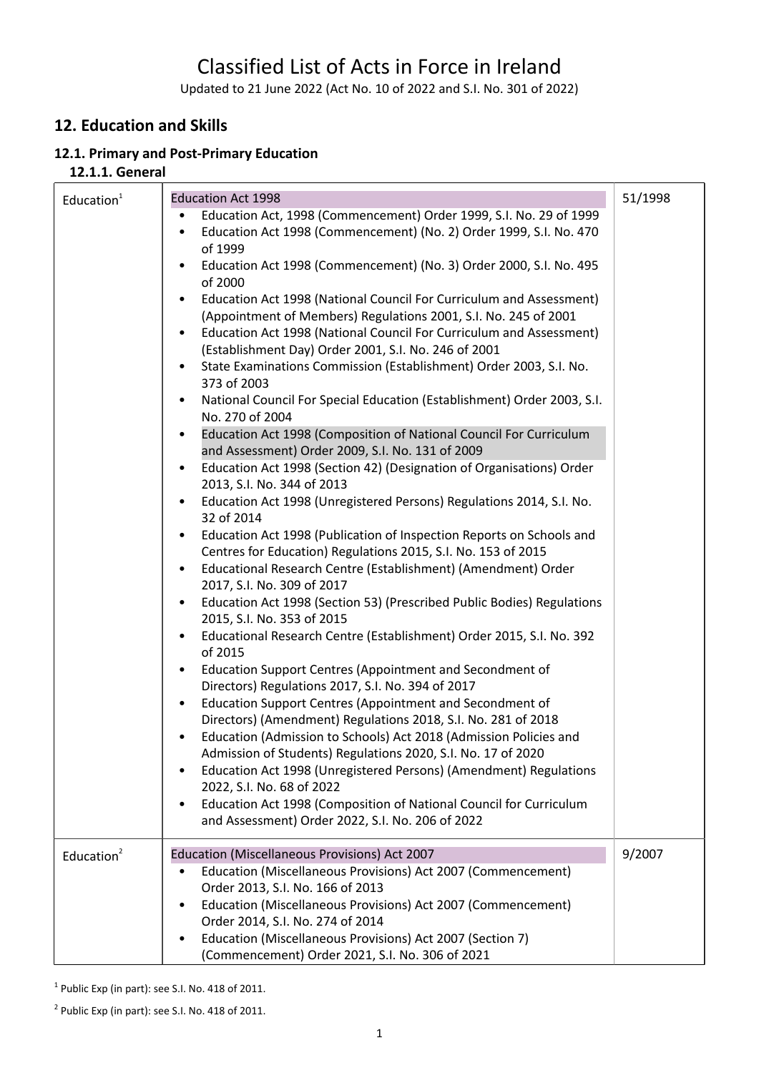# Classified List of Acts in Force in Ireland

Updated to 21 June 2022 (Act No. 10 of 2022 and S.I. No. 301 of 2022)

# **12. Education and Skills**

# **12.1. Primary and Post-Primary Education**

#### **12.1.1. General**

| Education $1$ | <b>Education Act 1998</b>                                                                                                  | 51/1998 |
|---------------|----------------------------------------------------------------------------------------------------------------------------|---------|
|               | Education Act, 1998 (Commencement) Order 1999, S.I. No. 29 of 1999<br>$\bullet$                                            |         |
|               | Education Act 1998 (Commencement) (No. 2) Order 1999, S.I. No. 470                                                         |         |
|               | of 1999                                                                                                                    |         |
|               | Education Act 1998 (Commencement) (No. 3) Order 2000, S.I. No. 495                                                         |         |
|               | of 2000                                                                                                                    |         |
|               | Education Act 1998 (National Council For Curriculum and Assessment)                                                        |         |
|               | (Appointment of Members) Regulations 2001, S.I. No. 245 of 2001                                                            |         |
|               | Education Act 1998 (National Council For Curriculum and Assessment)                                                        |         |
|               | (Establishment Day) Order 2001, S.I. No. 246 of 2001                                                                       |         |
|               | State Examinations Commission (Establishment) Order 2003, S.I. No.<br>$\bullet$                                            |         |
|               | 373 of 2003                                                                                                                |         |
|               | National Council For Special Education (Establishment) Order 2003, S.I.<br>$\bullet$                                       |         |
|               | No. 270 of 2004                                                                                                            |         |
|               | Education Act 1998 (Composition of National Council For Curriculum                                                         |         |
|               | and Assessment) Order 2009, S.I. No. 131 of 2009                                                                           |         |
|               | Education Act 1998 (Section 42) (Designation of Organisations) Order                                                       |         |
|               | 2013, S.I. No. 344 of 2013<br>Education Act 1998 (Unregistered Persons) Regulations 2014, S.I. No.                         |         |
|               | 32 of 2014                                                                                                                 |         |
|               | Education Act 1998 (Publication of Inspection Reports on Schools and<br>٠                                                  |         |
|               | Centres for Education) Regulations 2015, S.I. No. 153 of 2015                                                              |         |
|               | Educational Research Centre (Establishment) (Amendment) Order<br>$\bullet$                                                 |         |
|               | 2017, S.I. No. 309 of 2017                                                                                                 |         |
|               | Education Act 1998 (Section 53) (Prescribed Public Bodies) Regulations                                                     |         |
|               | 2015, S.I. No. 353 of 2015                                                                                                 |         |
|               | Educational Research Centre (Establishment) Order 2015, S.I. No. 392                                                       |         |
|               | of 2015                                                                                                                    |         |
|               | Education Support Centres (Appointment and Secondment of                                                                   |         |
|               | Directors) Regulations 2017, S.I. No. 394 of 2017                                                                          |         |
|               | Education Support Centres (Appointment and Secondment of<br>$\bullet$                                                      |         |
|               | Directors) (Amendment) Regulations 2018, S.I. No. 281 of 2018                                                              |         |
|               | Education (Admission to Schools) Act 2018 (Admission Policies and<br>$\bullet$                                             |         |
|               | Admission of Students) Regulations 2020, S.I. No. 17 of 2020                                                               |         |
|               | Education Act 1998 (Unregistered Persons) (Amendment) Regulations                                                          |         |
|               | 2022, S.I. No. 68 of 2022                                                                                                  |         |
|               | Education Act 1998 (Composition of National Council for Curriculum<br>$\bullet$                                            |         |
|               | and Assessment) Order 2022, S.I. No. 206 of 2022                                                                           |         |
|               |                                                                                                                            |         |
| Education $2$ | Education (Miscellaneous Provisions) Act 2007<br>Education (Miscellaneous Provisions) Act 2007 (Commencement)<br>$\bullet$ | 9/2007  |
|               | Order 2013, S.I. No. 166 of 2013                                                                                           |         |
|               | Education (Miscellaneous Provisions) Act 2007 (Commencement)<br>$\bullet$                                                  |         |
|               | Order 2014, S.I. No. 274 of 2014                                                                                           |         |
|               | Education (Miscellaneous Provisions) Act 2007 (Section 7)                                                                  |         |
|               | (Commencement) Order 2021, S.I. No. 306 of 2021                                                                            |         |

 $1$  Public Exp (in part): see S.I. No. 418 of 2011.

 $2$  Public Exp (in part): see S.I. No. 418 of 2011.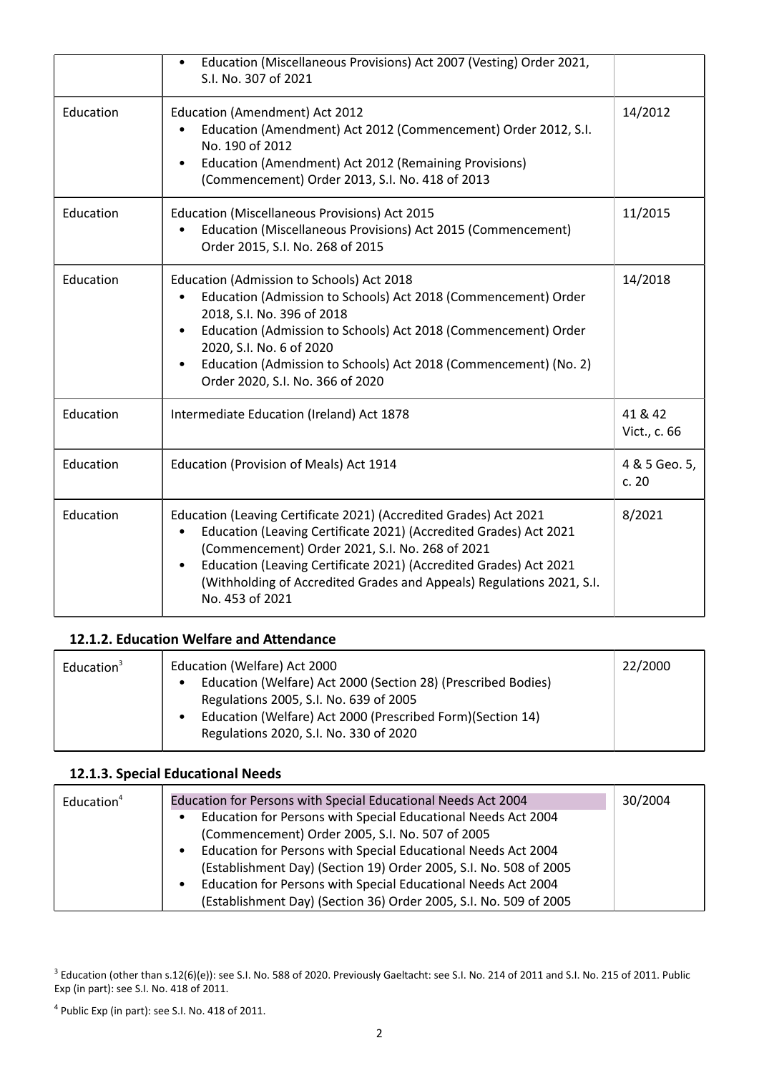|           | Education (Miscellaneous Provisions) Act 2007 (Vesting) Order 2021,<br>S.I. No. 307 of 2021                                                                                                                                                                                                                                                                             |                         |
|-----------|-------------------------------------------------------------------------------------------------------------------------------------------------------------------------------------------------------------------------------------------------------------------------------------------------------------------------------------------------------------------------|-------------------------|
| Education | Education (Amendment) Act 2012<br>Education (Amendment) Act 2012 (Commencement) Order 2012, S.I.<br>No. 190 of 2012<br>Education (Amendment) Act 2012 (Remaining Provisions)<br>(Commencement) Order 2013, S.I. No. 418 of 2013                                                                                                                                         | 14/2012                 |
| Education | Education (Miscellaneous Provisions) Act 2015<br>Education (Miscellaneous Provisions) Act 2015 (Commencement)<br>Order 2015, S.I. No. 268 of 2015                                                                                                                                                                                                                       | 11/2015                 |
| Education | Education (Admission to Schools) Act 2018<br>Education (Admission to Schools) Act 2018 (Commencement) Order<br>2018, S.I. No. 396 of 2018<br>Education (Admission to Schools) Act 2018 (Commencement) Order<br>2020, S.I. No. 6 of 2020<br>Education (Admission to Schools) Act 2018 (Commencement) (No. 2)<br>Order 2020, S.I. No. 366 of 2020                         | 14/2018                 |
| Education | Intermediate Education (Ireland) Act 1878                                                                                                                                                                                                                                                                                                                               | 41 & 42<br>Vict., c. 66 |
| Education | Education (Provision of Meals) Act 1914                                                                                                                                                                                                                                                                                                                                 | 4 & 5 Geo. 5,<br>c. 20  |
| Education | Education (Leaving Certificate 2021) (Accredited Grades) Act 2021<br>Education (Leaving Certificate 2021) (Accredited Grades) Act 2021<br>(Commencement) Order 2021, S.I. No. 268 of 2021<br>Education (Leaving Certificate 2021) (Accredited Grades) Act 2021<br>$\bullet$<br>(Withholding of Accredited Grades and Appeals) Regulations 2021, S.I.<br>No. 453 of 2021 | 8/2021                  |

# **12.1.2. Education Welfare and Attendance**

| Education <sup>3</sup> | Education (Welfare) Act 2000                                               | 22/2000 |
|------------------------|----------------------------------------------------------------------------|---------|
|                        | Education (Welfare) Act 2000 (Section 28) (Prescribed Bodies)<br>$\bullet$ |         |
|                        | Regulations 2005, S.I. No. 639 of 2005                                     |         |
|                        | Education (Welfare) Act 2000 (Prescribed Form) (Section 14)                |         |
|                        | Regulations 2020, S.I. No. 330 of 2020                                     |         |
|                        |                                                                            |         |

# **12.1.3. Special Educational Needs**

| Education <sup>4</sup> | Education for Persons with Special Educational Needs Act 2004              | 30/2004 |
|------------------------|----------------------------------------------------------------------------|---------|
|                        | Education for Persons with Special Educational Needs Act 2004<br>$\bullet$ |         |
|                        | (Commencement) Order 2005, S.I. No. 507 of 2005                            |         |
|                        | Education for Persons with Special Educational Needs Act 2004<br>$\bullet$ |         |
|                        | (Establishment Day) (Section 19) Order 2005, S.I. No. 508 of 2005          |         |
|                        | Education for Persons with Special Educational Needs Act 2004<br>$\bullet$ |         |
|                        | (Establishment Day) (Section 36) Order 2005, S.I. No. 509 of 2005          |         |

 $^3$  Education (other than s.12(6)(e)): see S.I. No. 588 of 2020. Previously Gaeltacht: see S.I. No. 214 of 2011 and S.I. No. 215 of 2011. Public Exp (in part): see S.I. No. 418 of 2011.

 $4$  Public Exp (in part): see S.I. No. 418 of 2011.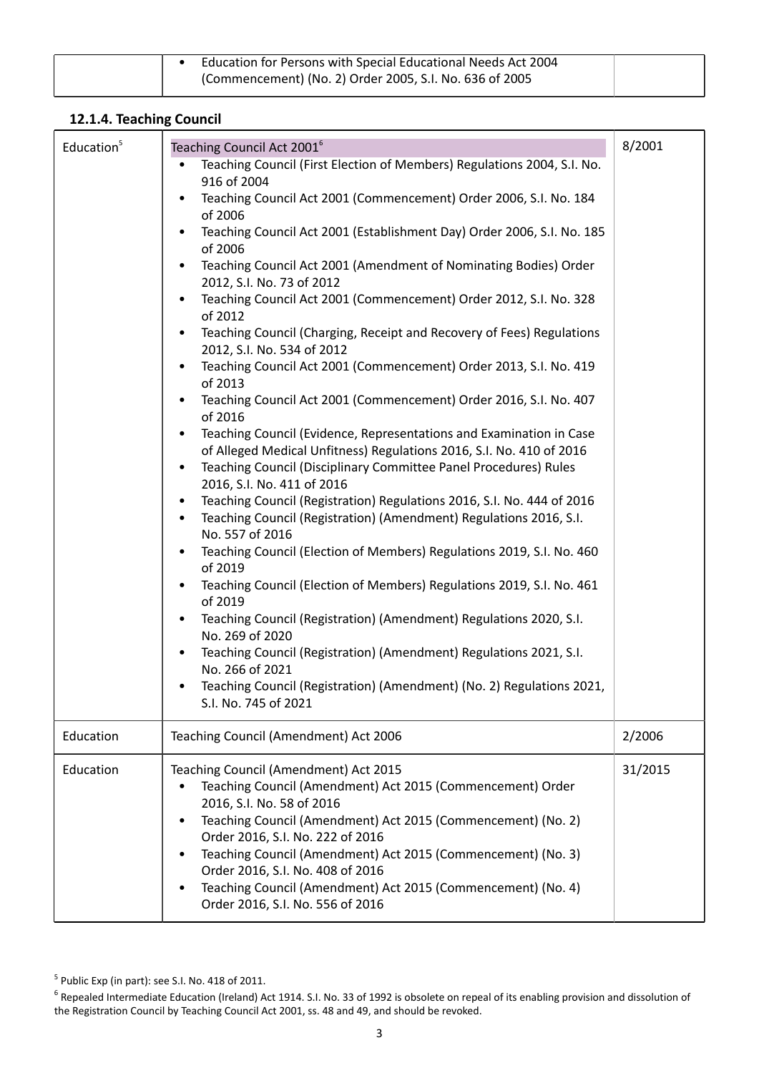| Education for Persons with Special Educational Needs Act 2004 |  |
|---------------------------------------------------------------|--|
| (Commencement) (No. 2) Order 2005, S.I. No. 636 of 2005       |  |

## **12.1.4. Teaching Council**

| Education <sup>5</sup> | Teaching Council Act 2001 <sup>6</sup><br>Teaching Council (First Election of Members) Regulations 2004, S.I. No.<br>$\bullet$<br>916 of 2004<br>Teaching Council Act 2001 (Commencement) Order 2006, S.I. No. 184<br>$\bullet$<br>of 2006<br>Teaching Council Act 2001 (Establishment Day) Order 2006, S.I. No. 185<br>$\bullet$<br>of 2006<br>Teaching Council Act 2001 (Amendment of Nominating Bodies) Order<br>$\bullet$<br>2012, S.I. No. 73 of 2012<br>Teaching Council Act 2001 (Commencement) Order 2012, S.I. No. 328<br>of 2012<br>Teaching Council (Charging, Receipt and Recovery of Fees) Regulations<br>$\bullet$<br>2012, S.I. No. 534 of 2012<br>Teaching Council Act 2001 (Commencement) Order 2013, S.I. No. 419<br>$\bullet$<br>of 2013<br>Teaching Council Act 2001 (Commencement) Order 2016, S.I. No. 407<br>$\bullet$<br>of 2016<br>Teaching Council (Evidence, Representations and Examination in Case<br>$\bullet$<br>of Alleged Medical Unfitness) Regulations 2016, S.I. No. 410 of 2016<br>Teaching Council (Disciplinary Committee Panel Procedures) Rules<br>٠<br>2016, S.I. No. 411 of 2016<br>Teaching Council (Registration) Regulations 2016, S.I. No. 444 of 2016<br>$\bullet$<br>Teaching Council (Registration) (Amendment) Regulations 2016, S.I.<br>$\bullet$<br>No. 557 of 2016<br>Teaching Council (Election of Members) Regulations 2019, S.I. No. 460<br>of 2019<br>Teaching Council (Election of Members) Regulations 2019, S.I. No. 461<br>$\bullet$<br>of 2019<br>Teaching Council (Registration) (Amendment) Regulations 2020, S.I.<br>$\bullet$<br>No. 269 of 2020<br>Teaching Council (Registration) (Amendment) Regulations 2021, S.I.<br>$\bullet$ | 8/2001  |
|------------------------|--------------------------------------------------------------------------------------------------------------------------------------------------------------------------------------------------------------------------------------------------------------------------------------------------------------------------------------------------------------------------------------------------------------------------------------------------------------------------------------------------------------------------------------------------------------------------------------------------------------------------------------------------------------------------------------------------------------------------------------------------------------------------------------------------------------------------------------------------------------------------------------------------------------------------------------------------------------------------------------------------------------------------------------------------------------------------------------------------------------------------------------------------------------------------------------------------------------------------------------------------------------------------------------------------------------------------------------------------------------------------------------------------------------------------------------------------------------------------------------------------------------------------------------------------------------------------------------------------------------------------------------------------------------------------------------------------------|---------|
|                        | No. 266 of 2021<br>Teaching Council (Registration) (Amendment) (No. 2) Regulations 2021,<br>$\bullet$<br>S.I. No. 745 of 2021                                                                                                                                                                                                                                                                                                                                                                                                                                                                                                                                                                                                                                                                                                                                                                                                                                                                                                                                                                                                                                                                                                                                                                                                                                                                                                                                                                                                                                                                                                                                                                          |         |
| Education              | Teaching Council (Amendment) Act 2006                                                                                                                                                                                                                                                                                                                                                                                                                                                                                                                                                                                                                                                                                                                                                                                                                                                                                                                                                                                                                                                                                                                                                                                                                                                                                                                                                                                                                                                                                                                                                                                                                                                                  | 2/2006  |
| Education              | Teaching Council (Amendment) Act 2015<br>Teaching Council (Amendment) Act 2015 (Commencement) Order<br>2016, S.I. No. 58 of 2016<br>Teaching Council (Amendment) Act 2015 (Commencement) (No. 2)<br>$\bullet$<br>Order 2016, S.I. No. 222 of 2016<br>Teaching Council (Amendment) Act 2015 (Commencement) (No. 3)<br>$\bullet$<br>Order 2016, S.I. No. 408 of 2016<br>Teaching Council (Amendment) Act 2015 (Commencement) (No. 4)<br>٠<br>Order 2016, S.I. No. 556 of 2016                                                                                                                                                                                                                                                                                                                                                                                                                                                                                                                                                                                                                                                                                                                                                                                                                                                                                                                                                                                                                                                                                                                                                                                                                            | 31/2015 |

 $<sup>5</sup>$  Public Exp (in part): see S.I. No. 418 of 2011.</sup>

 $^6$  Repealed Intermediate Education (Ireland) Act 1914. S.I. No. 33 of 1992 is obsolete on repeal of its enabling provision and dissolution of the Registration Council by Teaching Council Act 2001, ss. 48 and 49, and should be revoked.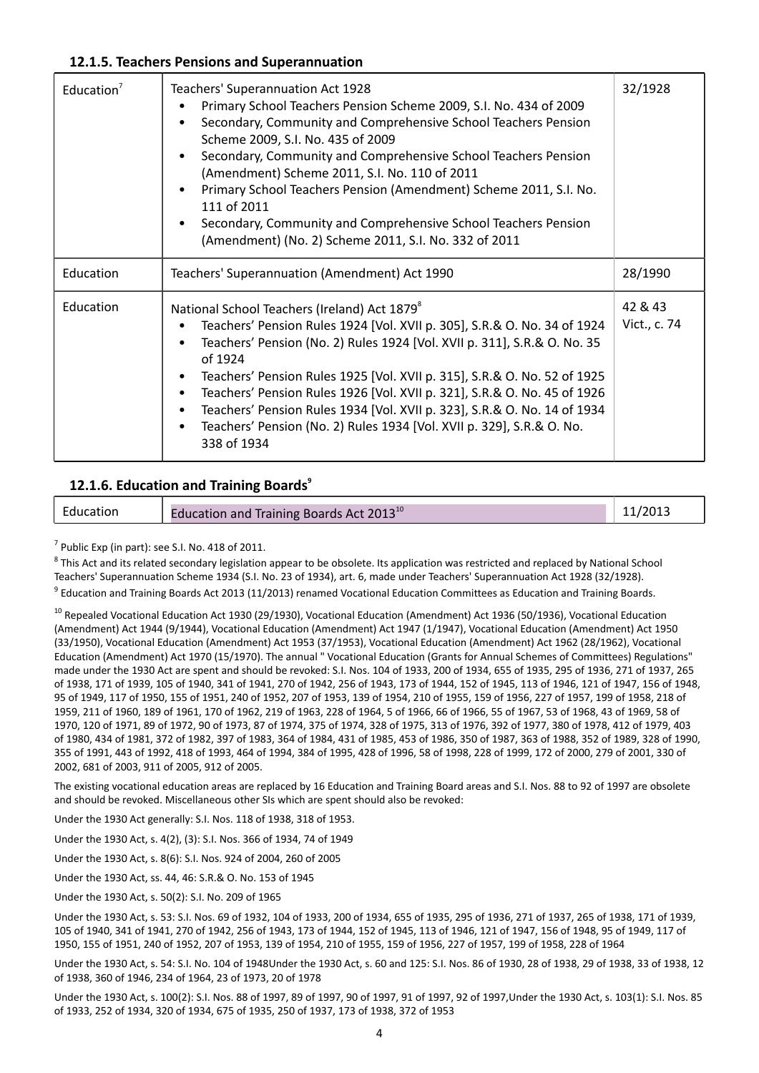#### **12.1.5. Teachers Pensions and Superannuation**

| Education <sup>7</sup> | <b>Teachers' Superannuation Act 1928</b><br>Primary School Teachers Pension Scheme 2009, S.I. No. 434 of 2009<br>Secondary, Community and Comprehensive School Teachers Pension<br>Scheme 2009, S.I. No. 435 of 2009<br>Secondary, Community and Comprehensive School Teachers Pension<br>٠<br>(Amendment) Scheme 2011, S.I. No. 110 of 2011<br>Primary School Teachers Pension (Amendment) Scheme 2011, S.I. No.<br>111 of 2011<br>Secondary, Community and Comprehensive School Teachers Pension<br>(Amendment) (No. 2) Scheme 2011, S.I. No. 332 of 2011          | 32/1928                 |
|------------------------|----------------------------------------------------------------------------------------------------------------------------------------------------------------------------------------------------------------------------------------------------------------------------------------------------------------------------------------------------------------------------------------------------------------------------------------------------------------------------------------------------------------------------------------------------------------------|-------------------------|
| Education              | Teachers' Superannuation (Amendment) Act 1990                                                                                                                                                                                                                                                                                                                                                                                                                                                                                                                        | 28/1990                 |
| Education              | National School Teachers (Ireland) Act 1879 <sup>8</sup><br>Teachers' Pension Rules 1924 [Vol. XVII p. 305], S.R.& O. No. 34 of 1924<br>Teachers' Pension (No. 2) Rules 1924 [Vol. XVII p. 311], S.R.& O. No. 35<br>of 1924<br>Teachers' Pension Rules 1925 [Vol. XVII p. 315], S.R.& O. No. 52 of 1925<br>Teachers' Pension Rules 1926 [Vol. XVII p. 321], S.R.& O. No. 45 of 1926<br>$\bullet$<br>Teachers' Pension Rules 1934 [Vol. XVII p. 323], S.R.& O. No. 14 of 1934<br>Teachers' Pension (No. 2) Rules 1934 [Vol. XVII p. 329], S.R.& O. No.<br>338 of 1934 | 42 & 43<br>Vict., c. 74 |

#### **12.1.6. Education and Training Boards<sup>9</sup>**

| Education | Education and Training Boards Act 2013 <sup>10</sup> |  |
|-----------|------------------------------------------------------|--|
|           |                                                      |  |

 $<sup>7</sup>$  Public Exp (in part): see S.I. No. 418 of 2011.</sup>

<sup>8</sup> This Act and its related secondary legislation appear to be obsolete. Its application was restricted and replaced by National School Teachers' Superannuation Scheme 1934 (S.I. No. 23 of 1934), art. 6, made under Teachers' Superannuation Act 1928 (32/1928). <sup>9</sup> Education and Training Boards Act 2013 (11/2013) renamed Vocational Education Committees as Education and Training Boards.

<sup>10</sup> Repealed Vocational Education Act 1930 (29/1930), Vocational Education (Amendment) Act 1936 (50/1936), Vocational Education (Amendment) Act 1944 (9/1944), Vocational Education (Amendment) Act 1947 (1/1947), Vocational Education (Amendment) Act 1950 (33/1950), Vocational Education (Amendment) Act 1953 (37/1953), Vocational Education (Amendment) Act 1962 (28/1962), Vocational Education (Amendment) Act 1970 (15/1970). The annual " Vocational Education (Grants for Annual Schemes of Committees) Regulations" made under the 1930 Act are spent and should be revoked: S.I. Nos. 104 of 1933, 200 of 1934, 655 of 1935, 295 of 1936, 271 of 1937, 265 of 1938, 171 of 1939, 105 of 1940, 341 of 1941, 270 of 1942, 256 of 1943, 173 of 1944, 152 of 1945, 113 of 1946, 121 of 1947, 156 of 1948, 95 of 1949, 117 of 1950, 155 of 1951, 240 of 1952, 207 of 1953, 139 of 1954, 210 of 1955, 159 of 1956, 227 of 1957, 199 of 1958, 218 of 1959, 211 of 1960, 189 of 1961, 170 of 1962, 219 of 1963, 228 of 1964, 5 of 1966, 66 of 1966, 55 of 1967, 53 of 1968, 43 of 1969, 58 of 1970, 120 of 1971, 89 of 1972, 90 of 1973, 87 of 1974, 375 of 1974, 328 of 1975, 313 of 1976, 392 of 1977, 380 of 1978, 412 of 1979, 403 of 1980, 434 of 1981, 372 of 1982, 397 of 1983, 364 of 1984, 431 of 1985, 453 of 1986, 350 of 1987, 363 of 1988, 352 of 1989, 328 of 1990, 355 of 1991, 443 of 1992, 418 of 1993, 464 of 1994, 384 of 1995, 428 of 1996, 58 of 1998, 228 of 1999, 172 of 2000, 279 of 2001, 330 of 2002, 681 of 2003, 911 of 2005, 912 of 2005.

The existing vocational education areas are replaced by 16 Education and Training Board areas and S.I. Nos. 88 to 92 of 1997 are obsolete and should be revoked. Miscellaneous other SIs which are spent should also be revoked:

Under the 1930 Act generally: S.I. Nos. 118 of 1938, 318 of 1953.

Under the 1930 Act, s. 4(2), (3): S.I. Nos. 366 of 1934, 74 of 1949

Under the 1930 Act, s. 8(6): S.I. Nos. 924 of 2004, 260 of 2005

Under the 1930 Act, ss. 44, 46: S.R.& O. No. 153 of 1945

Under the 1930 Act, s. 50(2): S.I. No. 209 of 1965

Under the 1930 Act, s. 53: S.I. Nos. 69 of 1932, 104 of 1933, 200 of 1934, 655 of 1935, 295 of 1936, 271 of 1937, 265 of 1938, 171 of 1939, 105 of 1940, 341 of 1941, 270 of 1942, 256 of 1943, 173 of 1944, 152 of 1945, 113 of 1946, 121 of 1947, 156 of 1948, 95 of 1949, 117 of 1950, 155 of 1951, 240 of 1952, 207 of 1953, 139 of 1954, 210 of 1955, 159 of 1956, 227 of 1957, 199 of 1958, 228 of 1964

Under the 1930 Act, s. 54: S.I. No. 104 of 1948Under the 1930 Act, s. 60 and 125: S.I. Nos. 86 of 1930, 28 of 1938, 29 of 1938, 33 of 1938, 12 of 1938, 360 of 1946, 234 of 1964, 23 of 1973, 20 of 1978

Under the 1930 Act, s. 100(2): S.I. Nos. 88 of 1997, 89 of 1997, 90 of 1997, 91 of 1997, 92 of 1997,Under the 1930 Act, s. 103(1): S.I. Nos. 85 of 1933, 252 of 1934, 320 of 1934, 675 of 1935, 250 of 1937, 173 of 1938, 372 of 1953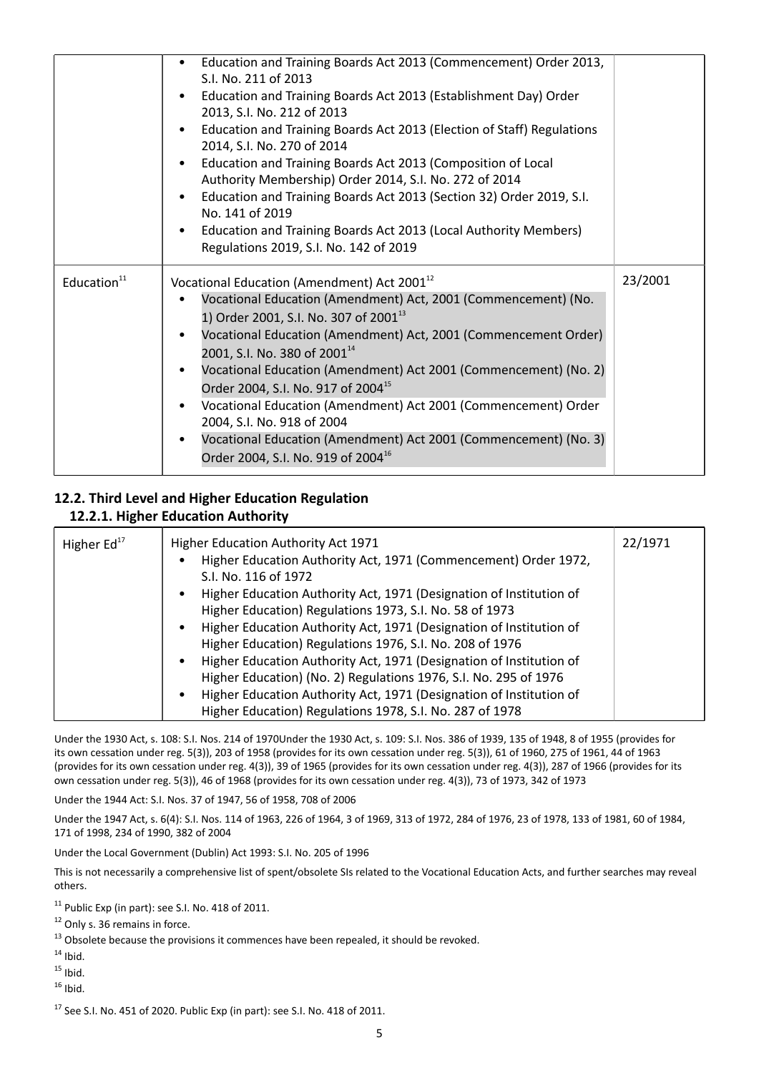|                         | Education and Training Boards Act 2013 (Commencement) Order 2013,<br>S.I. No. 211 of 2013<br>Education and Training Boards Act 2013 (Establishment Day) Order<br>2013, S.I. No. 212 of 2013<br>Education and Training Boards Act 2013 (Election of Staff) Regulations<br>2014, S.I. No. 270 of 2014<br>Education and Training Boards Act 2013 (Composition of Local<br>Authority Membership) Order 2014, S.I. No. 272 of 2014<br>Education and Training Boards Act 2013 (Section 32) Order 2019, S.I.<br>$\bullet$<br>No. 141 of 2019<br>Education and Training Boards Act 2013 (Local Authority Members)<br>$\bullet$<br>Regulations 2019, S.I. No. 142 of 2019    |         |
|-------------------------|---------------------------------------------------------------------------------------------------------------------------------------------------------------------------------------------------------------------------------------------------------------------------------------------------------------------------------------------------------------------------------------------------------------------------------------------------------------------------------------------------------------------------------------------------------------------------------------------------------------------------------------------------------------------|---------|
| Education <sup>11</sup> | Vocational Education (Amendment) Act 2001 <sup>12</sup><br>Vocational Education (Amendment) Act, 2001 (Commencement) (No.<br>1) Order 2001, S.I. No. 307 of 2001 <sup>13</sup><br>Vocational Education (Amendment) Act, 2001 (Commencement Order)<br>2001, S.I. No. 380 of 2001 <sup>14</sup><br>Vocational Education (Amendment) Act 2001 (Commencement) (No. 2)<br>Order 2004, S.I. No. 917 of 2004 <sup>15</sup><br>Vocational Education (Amendment) Act 2001 (Commencement) Order<br>$\bullet$<br>2004, S.I. No. 918 of 2004<br>Vocational Education (Amendment) Act 2001 (Commencement) (No. 3)<br>$\bullet$<br>Order 2004, S.I. No. 919 of 2004 <sup>16</sup> | 23/2001 |

# **12.2. Third Level and Higher Education Regulation 12.2.1. Higher Education Authority**

| Higher $Ed17$ | Higher Education Authority Act 1971                                              | 22/1971 |
|---------------|----------------------------------------------------------------------------------|---------|
|               | Higher Education Authority Act, 1971 (Commencement) Order 1972,                  |         |
|               | S.I. No. 116 of 1972                                                             |         |
|               | Higher Education Authority Act, 1971 (Designation of Institution of              |         |
|               | Higher Education) Regulations 1973, S.I. No. 58 of 1973                          |         |
|               | Higher Education Authority Act, 1971 (Designation of Institution of<br>٠         |         |
|               | Higher Education) Regulations 1976, S.I. No. 208 of 1976                         |         |
|               | Higher Education Authority Act, 1971 (Designation of Institution of<br>$\bullet$ |         |
|               | Higher Education) (No. 2) Regulations 1976, S.I. No. 295 of 1976                 |         |
|               | Higher Education Authority Act, 1971 (Designation of Institution of              |         |
|               | Higher Education) Regulations 1978, S.I. No. 287 of 1978                         |         |

Under the 1930 Act, s. 108: S.I. Nos. 214 of 1970Under the 1930 Act, s. 109: S.I. Nos. 386 of 1939, 135 of 1948, 8 of 1955 (provides for its own cessation under reg. 5(3)), 203 of 1958 (provides for its own cessation under reg. 5(3)), 61 of 1960, 275 of 1961, 44 of 1963 (provides for its own cessation under reg. 4(3)), 39 of 1965 (provides for its own cessation under reg. 4(3)), 287 of 1966 (provides for its own cessation under reg. 5(3)), 46 of 1968 (provides for its own cessation under reg. 4(3)), 73 of 1973, 342 of 1973

Under the 1944 Act: S.I. Nos. 37 of 1947, 56 of 1958, 708 of 2006

Under the 1947 Act, s. 6(4): S.I. Nos. 114 of 1963, 226 of 1964, 3 of 1969, 313 of 1972, 284 of 1976, 23 of 1978, 133 of 1981, 60 of 1984, 171 of 1998, 234 of 1990, 382 of 2004

Under the Local Government (Dublin) Act 1993: S.I. No. 205 of 1996

This is not necessarily a comprehensive list of spent/obsolete SIs related to the Vocational Education Acts, and further searches may reveal others.

<sup>11</sup> Public Exp (in part): see S.I. No. 418 of 2011.

<sup>12</sup> Only s. 36 remains in force.

<sup>13</sup> Obsolete because the provisions it commences have been repealed, it should be revoked.

- $14$  Ibid.
- $15$  Ibid.

 $16$  Ibid.

 $17$  See S.I. No. 451 of 2020. Public Exp (in part): see S.I. No. 418 of 2011.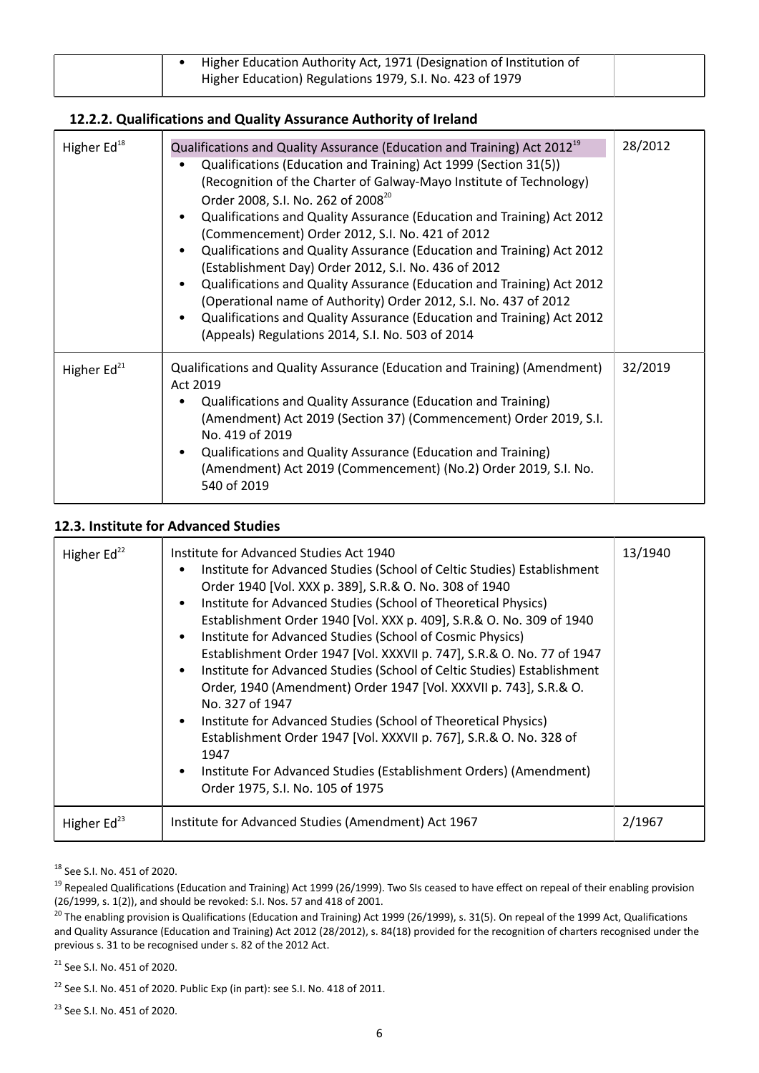| Higher Education Authority Act, 1971 (Designation of Institution of |  |
|---------------------------------------------------------------------|--|
| Higher Education) Regulations 1979, S.I. No. 423 of 1979            |  |
|                                                                     |  |

#### **12.2.2. Qualifications and Quality Assurance Authority of Ireland**

| Higher Ed <sup>18</sup> | Qualifications and Quality Assurance (Education and Training) Act 2012 <sup>19</sup><br>Qualifications (Education and Training) Act 1999 (Section 31(5))<br>(Recognition of the Charter of Galway-Mayo Institute of Technology)<br>Order 2008, S.I. No. 262 of 2008 <sup>20</sup><br>Qualifications and Quality Assurance (Education and Training) Act 2012<br>$\bullet$<br>(Commencement) Order 2012, S.I. No. 421 of 2012<br>Qualifications and Quality Assurance (Education and Training) Act 2012<br>$\bullet$<br>(Establishment Day) Order 2012, S.I. No. 436 of 2012<br>Qualifications and Quality Assurance (Education and Training) Act 2012<br>$\bullet$<br>(Operational name of Authority) Order 2012, S.I. No. 437 of 2012<br>Qualifications and Quality Assurance (Education and Training) Act 2012<br>$\bullet$<br>(Appeals) Regulations 2014, S.I. No. 503 of 2014 | 28/2012 |
|-------------------------|----------------------------------------------------------------------------------------------------------------------------------------------------------------------------------------------------------------------------------------------------------------------------------------------------------------------------------------------------------------------------------------------------------------------------------------------------------------------------------------------------------------------------------------------------------------------------------------------------------------------------------------------------------------------------------------------------------------------------------------------------------------------------------------------------------------------------------------------------------------------------------|---------|
| Higher $Ed21$           | Qualifications and Quality Assurance (Education and Training) (Amendment)<br>Act 2019<br>Qualifications and Quality Assurance (Education and Training)<br>(Amendment) Act 2019 (Section 37) (Commencement) Order 2019, S.I.<br>No. 419 of 2019<br>Qualifications and Quality Assurance (Education and Training)<br>$\bullet$<br>(Amendment) Act 2019 (Commencement) (No.2) Order 2019, S.I. No.<br>540 of 2019                                                                                                                                                                                                                                                                                                                                                                                                                                                                   | 32/2019 |

#### **12.3. Institute for Advanced Studies**

| Higher Ed <sup>22</sup> | Institute for Advanced Studies Act 1940<br>Institute for Advanced Studies (School of Celtic Studies) Establishment<br>Order 1940 [Vol. XXX p. 389], S.R.& O. No. 308 of 1940<br>Institute for Advanced Studies (School of Theoretical Physics)<br>Establishment Order 1940 [Vol. XXX p. 409], S.R.& O. No. 309 of 1940<br>Institute for Advanced Studies (School of Cosmic Physics)<br>Establishment Order 1947 [Vol. XXXVII p. 747], S.R.& O. No. 77 of 1947<br>Institute for Advanced Studies (School of Celtic Studies) Establishment<br>Order, 1940 (Amendment) Order 1947 [Vol. XXXVII p. 743], S.R.& O.<br>No. 327 of 1947<br>Institute for Advanced Studies (School of Theoretical Physics)<br>Establishment Order 1947 [Vol. XXXVII p. 767], S.R.& O. No. 328 of<br>1947<br>Institute For Advanced Studies (Establishment Orders) (Amendment)<br>Order 1975, S.I. No. 105 of 1975 | 13/1940 |
|-------------------------|-------------------------------------------------------------------------------------------------------------------------------------------------------------------------------------------------------------------------------------------------------------------------------------------------------------------------------------------------------------------------------------------------------------------------------------------------------------------------------------------------------------------------------------------------------------------------------------------------------------------------------------------------------------------------------------------------------------------------------------------------------------------------------------------------------------------------------------------------------------------------------------------|---------|
| Higher $Ed^{23}$        | Institute for Advanced Studies (Amendment) Act 1967                                                                                                                                                                                                                                                                                                                                                                                                                                                                                                                                                                                                                                                                                                                                                                                                                                       | 2/1967  |

<sup>18</sup> See S.I. No. 451 of 2020.

<sup>21</sup> See S.I. No. 451 of 2020.

<sup>22</sup> See S.I. No. 451 of 2020. Public Exp (in part): see S.I. No. 418 of 2011.

<sup>23</sup> See S.I. No. 451 of 2020.

<sup>&</sup>lt;sup>19</sup> Repealed Qualifications (Education and Training) Act 1999 (26/1999). Two SIs ceased to have effect on repeal of their enabling provision (26/1999, s. 1(2)), and should be revoked: S.I. Nos. 57 and 418 of 2001.

<sup>&</sup>lt;sup>20</sup> The enabling provision is Qualifications (Education and Training) Act 1999 (26/1999), s. 31(5). On repeal of the 1999 Act, Qualifications and Quality Assurance (Education and Training) Act 2012 (28/2012), s. 84(18) provided for the recognition of charters recognised under the previous s. 31 to be recognised under s. 82 of the 2012 Act.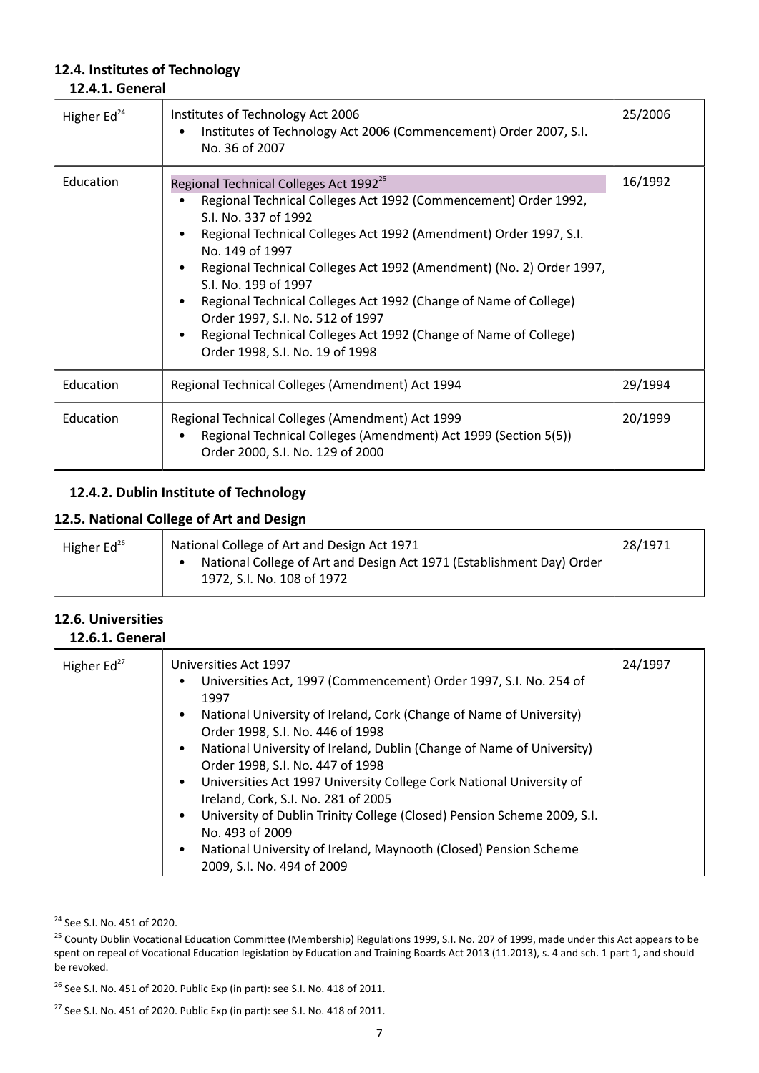#### **12.4. Institutes of Technology 12.4.1. General**

| Higher $Ed24$ | Institutes of Technology Act 2006<br>Institutes of Technology Act 2006 (Commencement) Order 2007, S.I.<br>No. 36 of 2007                                                                                                                                                                                                                                                                                                                                                                                                                             | 25/2006 |
|---------------|------------------------------------------------------------------------------------------------------------------------------------------------------------------------------------------------------------------------------------------------------------------------------------------------------------------------------------------------------------------------------------------------------------------------------------------------------------------------------------------------------------------------------------------------------|---------|
| Education     | Regional Technical Colleges Act 1992 <sup>25</sup><br>Regional Technical Colleges Act 1992 (Commencement) Order 1992,<br>S.I. No. 337 of 1992<br>Regional Technical Colleges Act 1992 (Amendment) Order 1997, S.I.<br>No. 149 of 1997<br>Regional Technical Colleges Act 1992 (Amendment) (No. 2) Order 1997,<br>S.I. No. 199 of 1997<br>Regional Technical Colleges Act 1992 (Change of Name of College)<br>Order 1997, S.I. No. 512 of 1997<br>Regional Technical Colleges Act 1992 (Change of Name of College)<br>Order 1998, S.I. No. 19 of 1998 | 16/1992 |
| Education     | Regional Technical Colleges (Amendment) Act 1994                                                                                                                                                                                                                                                                                                                                                                                                                                                                                                     | 29/1994 |
| Education     | Regional Technical Colleges (Amendment) Act 1999<br>Regional Technical Colleges (Amendment) Act 1999 (Section 5(5))<br>Order 2000, S.I. No. 129 of 2000                                                                                                                                                                                                                                                                                                                                                                                              | 20/1999 |

## **12.4.2. Dublin Institute of Technology**

### **12.5. National College of Art and Design**

| Higher $Ed^{26}$ | National College of Art and Design Act 1971<br>National College of Art and Design Act 1971 (Establishment Day) Order<br>1972, S.I. No. 108 of 1972 | 28/1971 |
|------------------|----------------------------------------------------------------------------------------------------------------------------------------------------|---------|
|------------------|----------------------------------------------------------------------------------------------------------------------------------------------------|---------|

# **12.6. Universities**

#### **12.6.1. General**

| Higher $Ed27$ | Universities Act 1997<br>Universities Act, 1997 (Commencement) Order 1997, S.I. No. 254 of<br>٠<br>1997<br>National University of Ireland, Cork (Change of Name of University)<br>٠<br>Order 1998, S.I. No. 446 of 1998<br>National University of Ireland, Dublin (Change of Name of University)<br>٠<br>Order 1998, S.I. No. 447 of 1998 | 24/1997 |
|---------------|-------------------------------------------------------------------------------------------------------------------------------------------------------------------------------------------------------------------------------------------------------------------------------------------------------------------------------------------|---------|
|               | Universities Act 1997 University College Cork National University of<br>٠<br>Ireland, Cork, S.I. No. 281 of 2005<br>University of Dublin Trinity College (Closed) Pension Scheme 2009, S.I.<br>$\bullet$<br>No. 493 of 2009<br>National University of Ireland, Maynooth (Closed) Pension Scheme<br>٠<br>2009, S.I. No. 494 of 2009        |         |

<sup>24</sup> See S.I. No. 451 of 2020.

<sup>25</sup> County Dublin Vocational Education Committee (Membership) Regulations 1999, S.I. No. 207 of 1999, made under this Act appears to be spent on repeal of Vocational Education legislation by Education and Training Boards Act 2013 (11.2013), s. 4 and sch. 1 part 1, and should be revoked.

<sup>26</sup> See S.I. No. 451 of 2020. Public Exp (in part): see S.I. No. 418 of 2011.

<sup>27</sup> See S.I. No. 451 of 2020. Public Exp (in part): see S.I. No. 418 of 2011.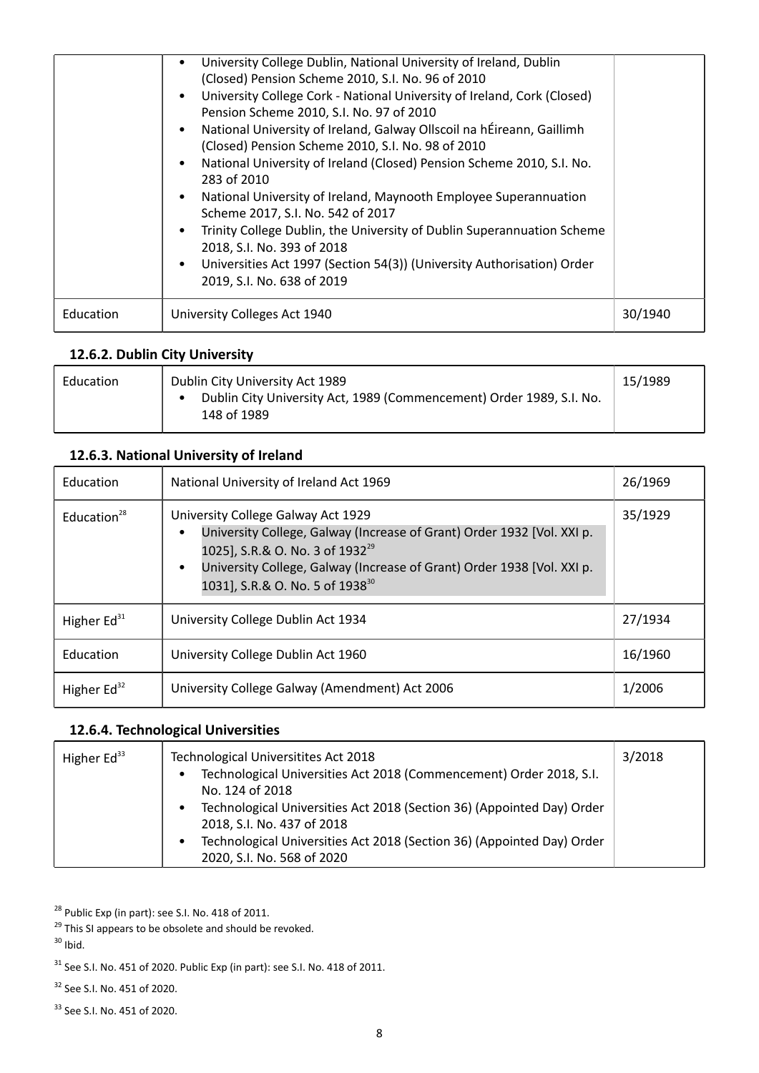|           | University College Dublin, National University of Ireland, Dublin<br>(Closed) Pension Scheme 2010, S.I. No. 96 of 2010<br>University College Cork - National University of Ireland, Cork (Closed)<br>Pension Scheme 2010, S.I. No. 97 of 2010<br>National University of Ireland, Galway Ollscoil na hÉireann, Gaillimh<br>(Closed) Pension Scheme 2010, S.I. No. 98 of 2010<br>National University of Ireland (Closed) Pension Scheme 2010, S.I. No.<br>283 of 2010<br>National University of Ireland, Maynooth Employee Superannuation<br>Scheme 2017, S.I. No. 542 of 2017<br>Trinity College Dublin, the University of Dublin Superannuation Scheme<br>2018, S.I. No. 393 of 2018<br>Universities Act 1997 (Section 54(3)) (University Authorisation) Order<br>2019, S.I. No. 638 of 2019 |         |
|-----------|----------------------------------------------------------------------------------------------------------------------------------------------------------------------------------------------------------------------------------------------------------------------------------------------------------------------------------------------------------------------------------------------------------------------------------------------------------------------------------------------------------------------------------------------------------------------------------------------------------------------------------------------------------------------------------------------------------------------------------------------------------------------------------------------|---------|
| Education | University Colleges Act 1940                                                                                                                                                                                                                                                                                                                                                                                                                                                                                                                                                                                                                                                                                                                                                                 | 30/1940 |

# **12.6.2. Dublin City University**

| Education | Dublin City University Act 1989                                                     | 15/1989 |
|-----------|-------------------------------------------------------------------------------------|---------|
|           | Dublin City University Act, 1989 (Commencement) Order 1989, S.I. No.<br>148 of 1989 |         |

# **12.6.3. National University of Ireland**

| Education         | National University of Ireland Act 1969                                                                                                                                                                                                                                                                        | 26/1969 |
|-------------------|----------------------------------------------------------------------------------------------------------------------------------------------------------------------------------------------------------------------------------------------------------------------------------------------------------------|---------|
| Education $^{28}$ | University College Galway Act 1929<br>University College, Galway (Increase of Grant) Order 1932 [Vol. XXI p.<br>$\bullet$<br>1025], S.R.& O. No. 3 of 1932 <sup>29</sup><br>University College, Galway (Increase of Grant) Order 1938 [Vol. XXI p.<br>$\bullet$<br>1031], S.R.& O. No. 5 of 1938 <sup>30</sup> | 35/1929 |
| Higher $Ed31$     | University College Dublin Act 1934                                                                                                                                                                                                                                                                             | 27/1934 |
| Education         | University College Dublin Act 1960                                                                                                                                                                                                                                                                             | 16/1960 |
| Higher $Ed^{32}$  | University College Galway (Amendment) Act 2006                                                                                                                                                                                                                                                                 | 1/2006  |

# **12.6.4. Technological Universities**

| Higher Ed <sup>33</sup> | Technological Universitites Act 2018<br>Technological Universities Act 2018 (Commencement) Order 2018, S.I.<br>$\bullet$<br>No. 124 of 2018<br>Technological Universities Act 2018 (Section 36) (Appointed Day) Order<br>$\bullet$<br>2018, S.I. No. 437 of 2018<br>Technological Universities Act 2018 (Section 36) (Appointed Day) Order<br>$\bullet$<br>2020, S.I. No. 568 of 2020 | 3/2018 |
|-------------------------|---------------------------------------------------------------------------------------------------------------------------------------------------------------------------------------------------------------------------------------------------------------------------------------------------------------------------------------------------------------------------------------|--------|
|-------------------------|---------------------------------------------------------------------------------------------------------------------------------------------------------------------------------------------------------------------------------------------------------------------------------------------------------------------------------------------------------------------------------------|--------|

<sup>28</sup> Public Exp (in part): see S.I. No. 418 of 2011.

 $31$  See S.I. No. 451 of 2020. Public Exp (in part): see S.I. No. 418 of 2011.

<sup>32</sup> See S.I. No. 451 of 2020.

<sup>33</sup> See S.I. No. 451 of 2020.

<sup>&</sup>lt;sup>29</sup> This SI appears to be obsolete and should be revoked.  $30$  Ibid.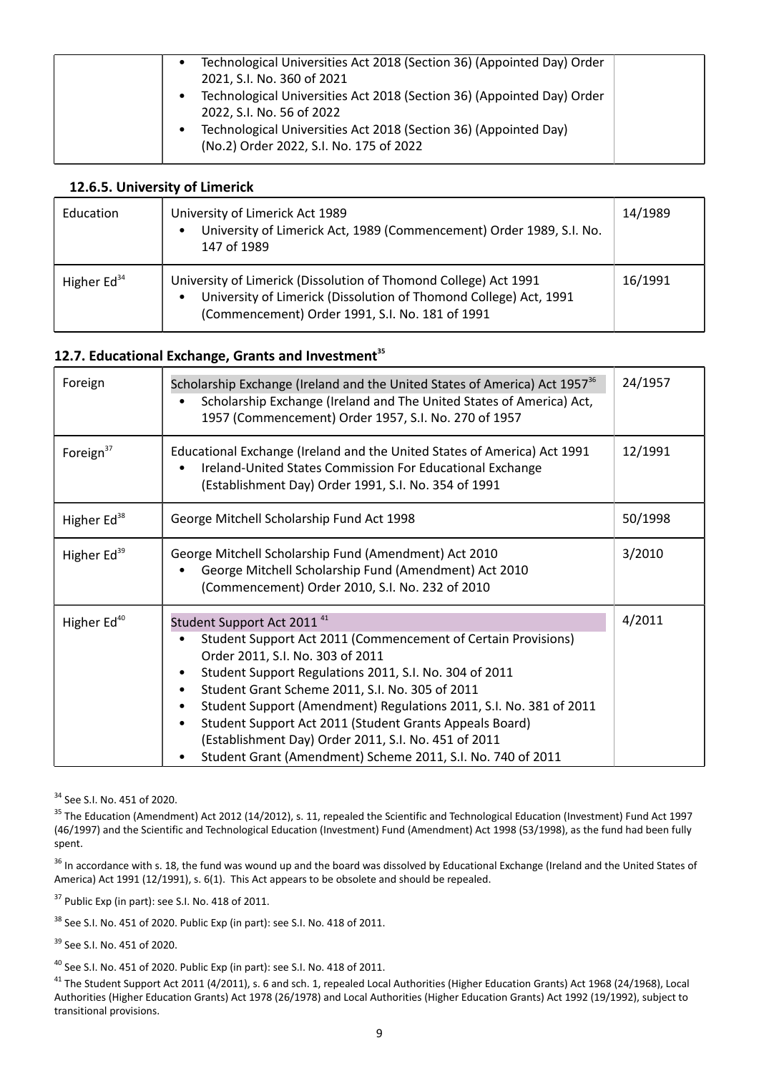| Technological Universities Act 2018 (Section 36) (Appointed Day) Order<br>2021, S.I. No. 360 of 2021 |
|------------------------------------------------------------------------------------------------------|
| Technological Universities Act 2018 (Section 36) (Appointed Day) Order                               |
| 2022, S.I. No. 56 of 2022<br>Technological Universities Act 2018 (Section 36) (Appointed Day)        |
| (No.2) Order 2022, S.I. No. 175 of 2022                                                              |

### **12.6.5. University of Limerick**

| Education     | University of Limerick Act 1989<br>University of Limerick Act, 1989 (Commencement) Order 1989, S.I. No.<br>147 of 1989                                                                   | 14/1989 |
|---------------|------------------------------------------------------------------------------------------------------------------------------------------------------------------------------------------|---------|
| Higher $Ed34$ | University of Limerick (Dissolution of Thomond College) Act 1991<br>University of Limerick (Dissolution of Thomond College) Act, 1991<br>(Commencement) Order 1991, S.I. No. 181 of 1991 | 16/1991 |

#### **12.7. Educational Exchange, Grants and Investment<sup>35</sup>**

| Foreign                 | Scholarship Exchange (Ireland and the United States of America) Act 1957 <sup>36</sup><br>Scholarship Exchange (Ireland and The United States of America) Act,<br>1957 (Commencement) Order 1957, S.I. No. 270 of 1957                                                                                                                                                                                                                                                                                           | 24/1957 |
|-------------------------|------------------------------------------------------------------------------------------------------------------------------------------------------------------------------------------------------------------------------------------------------------------------------------------------------------------------------------------------------------------------------------------------------------------------------------------------------------------------------------------------------------------|---------|
| Foreign $37$            | Educational Exchange (Ireland and the United States of America) Act 1991<br>Ireland-United States Commission For Educational Exchange<br>(Establishment Day) Order 1991, S.I. No. 354 of 1991                                                                                                                                                                                                                                                                                                                    | 12/1991 |
| Higher Ed <sup>38</sup> | George Mitchell Scholarship Fund Act 1998                                                                                                                                                                                                                                                                                                                                                                                                                                                                        | 50/1998 |
| Higher Ed <sup>39</sup> | George Mitchell Scholarship Fund (Amendment) Act 2010<br>George Mitchell Scholarship Fund (Amendment) Act 2010<br>(Commencement) Order 2010, S.I. No. 232 of 2010                                                                                                                                                                                                                                                                                                                                                | 3/2010  |
| Higher Ed <sup>40</sup> | Student Support Act 2011 <sup>41</sup><br>Student Support Act 2011 (Commencement of Certain Provisions)<br>Order 2011, S.I. No. 303 of 2011<br>Student Support Regulations 2011, S.I. No. 304 of 2011<br>Student Grant Scheme 2011, S.I. No. 305 of 2011<br>Student Support (Amendment) Regulations 2011, S.I. No. 381 of 2011<br>Student Support Act 2011 (Student Grants Appeals Board)<br>(Establishment Day) Order 2011, S.I. No. 451 of 2011<br>Student Grant (Amendment) Scheme 2011, S.I. No. 740 of 2011 | 4/2011  |

<sup>34</sup> See S.I. No. 451 of 2020.

<sup>35</sup> The Education (Amendment) Act 2012 (14/2012), s. 11, repealed the Scientific and Technological Education (Investment) Fund Act 1997 (46/1997) and the Scientific and Technological Education (Investment) Fund (Amendment) Act 1998 (53/1998), as the fund had been fully spent.

<sup>36</sup> In accordance with s. 18, the fund was wound up and the board was dissolved by Educational Exchange (Ireland and the United States of America) Act 1991 (12/1991), s. 6(1). This Act appears to be obsolete and should be repealed.

 $37$  Public Exp (in part): see S.I. No. 418 of 2011.

<sup>38</sup> See S.I. No. 451 of 2020. Public Exp (in part): see S.I. No. 418 of 2011.

<sup>39</sup> See S.I. No. 451 of 2020.

 $40$  See S.I. No. 451 of 2020. Public Exp (in part): see S.I. No. 418 of 2011.

<sup>41</sup> The Student Support Act 2011 (4/2011), s. 6 and sch. 1, repealed Local Authorities (Higher Education Grants) Act 1968 (24/1968), Local Authorities (Higher Education Grants) Act 1978 (26/1978) and Local Authorities (Higher Education Grants) Act 1992 (19/1992), subject to transitional provisions.